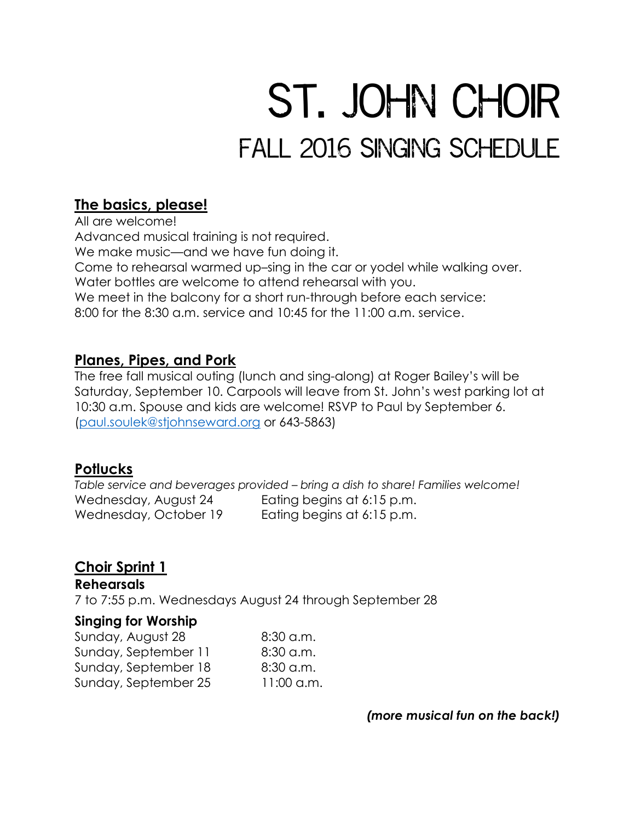# ST. JOHN CHOIR FALL 2016 SINGING SCHEDULE

## **The basics, please!**

All are welcome! Advanced musical training is not required. We make music—and we have fun doing it. Come to rehearsal warmed up–sing in the car or yodel while walking over. Water bottles are welcome to attend rehearsal with you. We meet in the balcony for a short run-through before each service: 8:00 for the 8:30 a.m. service and 10:45 for the 11:00 a.m. service.

## **Planes, Pipes, and Pork**

The free fall musical outing (lunch and sing-along) at Roger Bailey's will be Saturday, September 10. Carpools will leave from St. John's west parking lot at 10:30 a.m. Spouse and kids are welcome! RSVP to Paul by September 6. [\(paul.soulek@stjohnseward.org](mailto:paul.soulek@stjohnseward.org) or 643-5863)

## **Potlucks**

*Table service and beverages provided – bring a dish to share! Families welcome!* Wednesday, August 24 Eating begins at 6:15 p.m. Wednesday, October 19 Eating begins at 6:15 p.m.

# **Choir Sprint 1**

**Rehearsals** 7 to 7:55 p.m. Wednesdays August 24 through September 28

#### **Singing for Worship**

Sunday, August 28 6:30 a.m. Sunday, September 11 8:30 a.m. Sunday, September 18 8:30 a.m. Sunday, September 25 11:00 a.m.

*(more musical fun on the back!)*